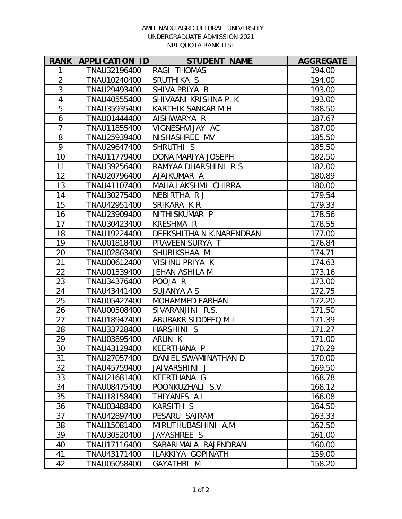## TAMIL NADU AGRICULTURAL UNIVERSITY UNDERGRADUATE ADMISSION 2021 NRI QUOTA RANK LIST

| <b>RANK</b>    | <b>APPLICATION IDI</b> | <b>STUDENT_NAME</b>      | <b>AGGREGATE</b> |
|----------------|------------------------|--------------------------|------------------|
| 1              | TNAU32196400           | RAGI THOMAS              | 194.00           |
| $\overline{2}$ | TNAU10240400           | SRUTHIKA S               | 194.00           |
| 3              | TNAU29493400           | SHIVA PRIYA B            | 193.00           |
| $\overline{4}$ | TNAU40555400           | SHIVAANI KRISHNA P. K    | 193.00           |
| 5              | TNAU35935400           | KARTHIK SANKAR M H       | 188.50           |
| 6              | TNAU01444400           | AISHWARYA R              | 187.67           |
| $\overline{7}$ | TNAU11855400           | VIGNESHVIJAY AC          | 187.00           |
| 8              | TNAU25939400           | NISHASHREE MV            | 185.50           |
| 9              | TNAU29647400           | SHRUTHI <sub>S</sub>     | 185.50           |
| 10             | TNAU11779400           | DONA MARIYA JOSEPH       | 182.50           |
| 11             | TNAU39256400           | RAMYAA DHARSHINI R S     | 182.00           |
| 12             | TNAU20796400           | AJAIKUMAR A              | 180.89           |
| 13             | TNAU41107400           | MAHA LAKSHMI CHIRRA      | 180.00           |
| 14             | TNAU30275400           | NEBIRTHA R J             | 179.54           |
| 15             | TNAU42951400           | SRIKARA KR               | 179.33           |
| 16             | TNAU23909400           | NITHISKUMAR P            | 178.56           |
| 17             | TNAU30423400           | <b>KRESHMA R</b>         | 178.55           |
| 18             | TNAU19224400           | DEEKSHITHA N K.NARENDRAN | 177.00           |
| 19             | TNAU01818400           | PRAVEEN SURYA T          | 176.84           |
| 20             | TNAU02863400           | SHUBIKSHAA M             | 174.71           |
| 21             | TNAU00612400           | VISHNU PRIYA K           | 174.63           |
| 22             | TNAU01539400           | <b>JEHAN ASHILA M</b>    | 173.16           |
| 23             | TNAU34376400           | POOJA R                  | 173.00           |
| 24             | TNAU43441400           | <b>SUJANYA A S</b>       | 172.75           |
| 25             | TNAU05427400           | <b>MOHAMMED FARHAN</b>   | 172.20           |
| 26             | TNAU00508400           | SIVARANJINI R.S.         | 171.50           |
| 27             | TNAU18947400           | ABUBAKR SIDDEEQ M I      | 171.39           |
| 28             | TNAU33728400           | HARSHINI S               | 171.27           |
| 29             | TNAU03895400           | ARUN K                   | 171.00           |
| 30             | TNAU43129400           | KEERTHANA P              | 170.29           |
| 31             | TNAU27057400           | DANIEL SWAMINATHAN D     | 170.00           |
| 32             | TNAU45759400           | JAIVARSHINI J            | 169.50           |
| 33             | TNAU21681400           | KEERTHANA G              | 168.78           |
| 34             | TNAU08475400           | POONKUZHALI S.V.         | 168.12           |
| 35             | TNAU18158400           | THIYANES A I             | 166.08           |
| 36             | TNAU03488400           | KARSITH S                | 164.50           |
| 37             | TNAU42897400           | PESARU SAIRAM            | 163.33           |
| 38             | TNAU15081400           | MIRUTHUBASHINI A.M       | 162.50           |
| 39             | TNAU30520400           | JAYASHREE S              | 161.00           |
| 40             | TNAU17116400           | SABARIMALA RAJENDRAN     | 160.00           |
| 41             | TNAU43171400           | ILAKKIYA GOPINATH        | 159.00           |
| 42             | TNAU05058400           | GAYATHRI M               | 158.20           |